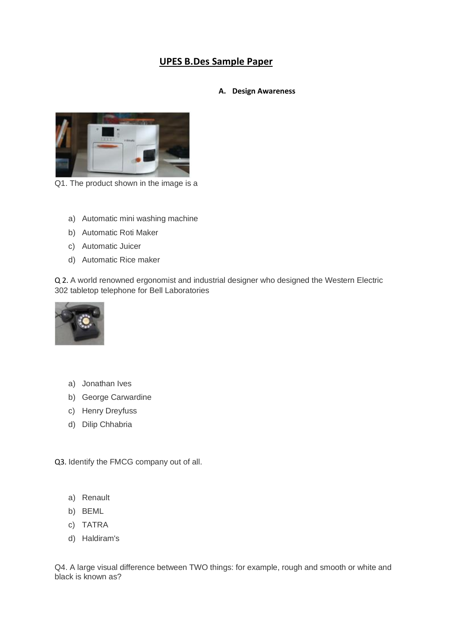# **UPES B.Des Sample Paper**

### **A. Design Awareness**



Q1. The product shown in the image is a

- a) Automatic mini washing machine
- b) Automatic Roti Maker
- c) Automatic Juicer
- d) Automatic Rice maker

Q 2. A world renowned ergonomist and industrial designer who designed the Western Electric 302 tabletop telephone for Bell Laboratories



- a) Jonathan Ives
- b) George Carwardine
- c) Henry Dreyfuss
- d) Dilip Chhabria

Q3. Identify the FMCG company out of all.

- a) Renault
- b) BEML
- c) TATRA
- d) Haldiram's

Q4. A large visual difference between TWO things: for example, rough and smooth or white and black is known as?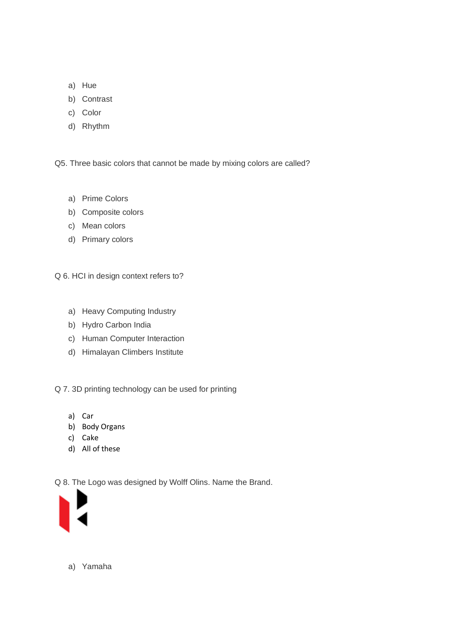- a) Hue
- b) Contrast
- c) Color
- d) Rhythm

Q5. Three basic colors that cannot be made by mixing colors are called?

- a) Prime Colors
- b) Composite colors
- c) Mean colors
- d) Primary colors

Q 6. HCI in design context refers to?

- a) Heavy Computing Industry
- b) Hydro Carbon India
- c) Human Computer Interaction
- d) Himalayan Climbers Institute

Q 7. 3D printing technology can be used for printing

- a) Car
- b) Body Organs
- c) Cake
- d) All of these

Q 8. The Logo was designed by Wolff Olins. Name the Brand.



a) Yamaha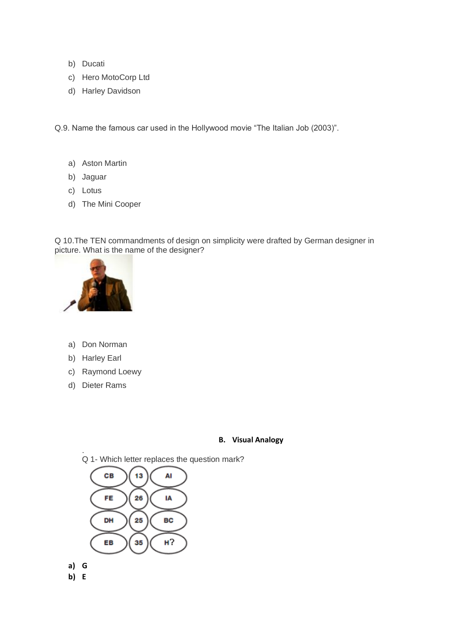- b) Ducati
- c) Hero MotoCorp Ltd
- d) Harley Davidson

Q.9. Name the famous car used in the Hollywood movie "The Italian Job (2003)".

- a) Aston Martin
- b) Jaguar
- c) Lotus
- d) The Mini Cooper

Q 10.The TEN commandments of design on simplicity were drafted by German designer in picture. What is the name of the designer?



- a) Don Norman
- b) Harley Earl
- c) Raymond Loewy
- d) Dieter Rams

## **B. Visual Analogy**

. Q 1- Which letter replaces the question mark?



- **a) G**
- **b) E**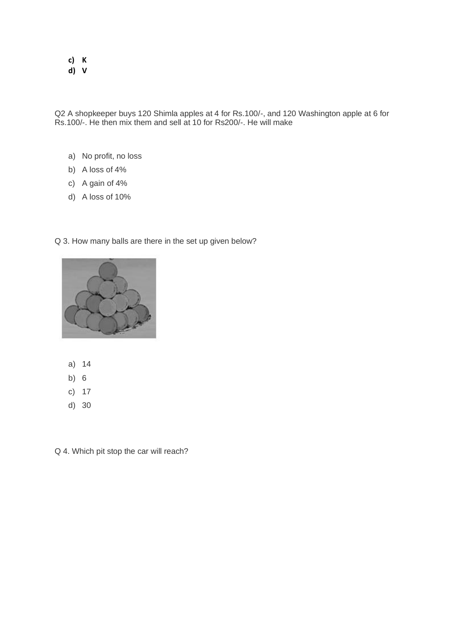# **c) K**

**d) V**

Q2 A shopkeeper buys 120 Shimla apples at 4 for Rs.100/-, and 120 Washington apple at 6 for Rs.100/-. He then mix them and sell at 10 for Rs200/-. He will make

- a) No profit, no loss
- b) A loss of 4%
- c) A gain of 4%
- d) A loss of 10%

#### Q 3. How many balls are there in the set up given below?



- a) 14
- b) 6
- c) 17
- d) 30

Q 4. Which pit stop the car will reach?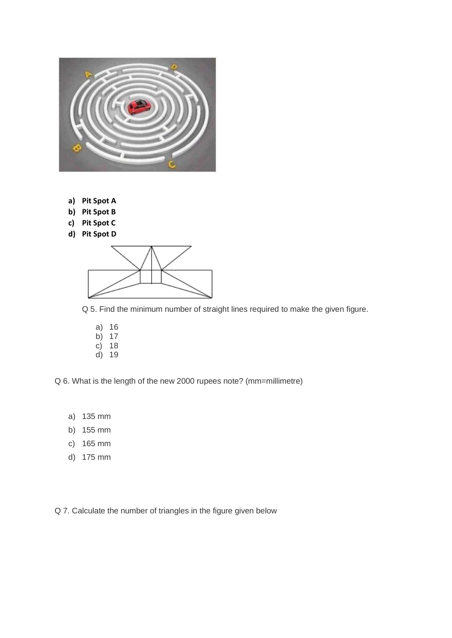

- **a) Pit Spot A**
- **b) Pit Spot B**
- **c) Pit Spot C**
- **d) Pit Spot D**



Q 5. Find the minimum number of straight lines required to make the given figure.

a) 16 b) 17 c) 18 d) 19

Q 6. What is the length of the new 2000 rupees note? (mm=millimetre)

- a) 135 mm
- b) 155 mm
- c) 165 mm
- d) 175 mm

Q 7. Calculate the number of triangles in the figure given below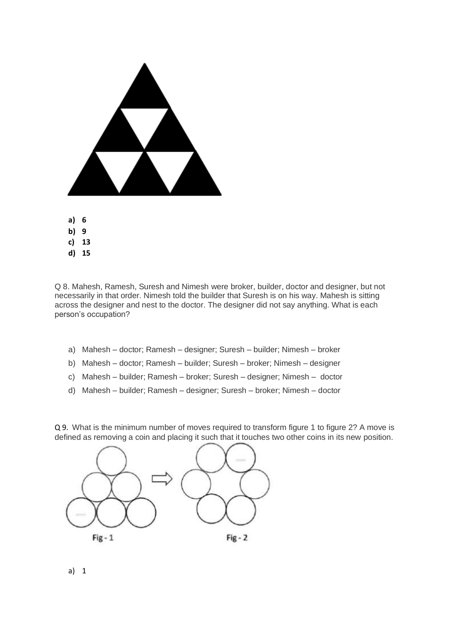

Q 8. Mahesh, Ramesh, Suresh and Nimesh were broker, builder, doctor and designer, but not necessarily in that order. Nimesh told the builder that Suresh is on his way. Mahesh is sitting across the designer and nest to the doctor. The designer did not say anything. What is each person's occupation?

- a) Mahesh doctor; Ramesh designer; Suresh builder; Nimesh broker
- b) Mahesh doctor; Ramesh builder; Suresh broker; Nimesh designer
- c) Mahesh builder; Ramesh broker; Suresh designer; Nimesh doctor
- d) Mahesh builder; Ramesh designer; Suresh broker; Nimesh doctor

Q 9. What is the minimum number of moves required to transform figure 1 to figure 2? A move is defined as removing a coin and placing it such that it touches two other coins in its new position.



a) 1